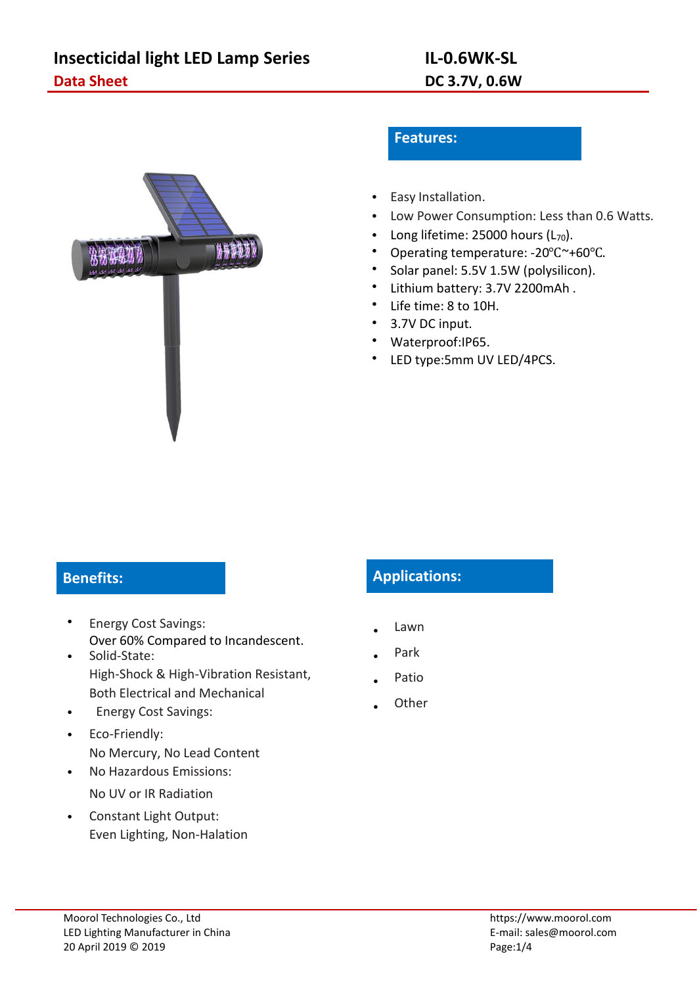

### **Features:**

- Easy Installation.
- Low Power Consumption: Less than 0.6 Watts.
- Long lifetime: 25000 hours  $(L_{70})$ .
- Operating temperature: -20℃~+60℃.
- Solar panel: 5.5V 1.5W (polysilicon).
- Lithium battery: 3.7V 2200mAh .
- Life time: 8 to 10H.
- 3.7V DC input.
- Waterproof:IP65.
- LED type:5mm UV LED/4PCS.

- Energy Cost Savings: Over 60% Compared to Incandescent. • Solid-State:
- High-Shock & High-Vibration Resistant, Both Electrical and Mechanical
- Energy Cost Savings:
- Eco-Friendly: No Mercury, No Lead Content
- No Hazardous Emissions: No UV or IR Radiation
- Constant Light Output: Even Lighting, Non-Halation

# **Benefits: Applications:**

- Lawn
- Park
- Patio
- **Other**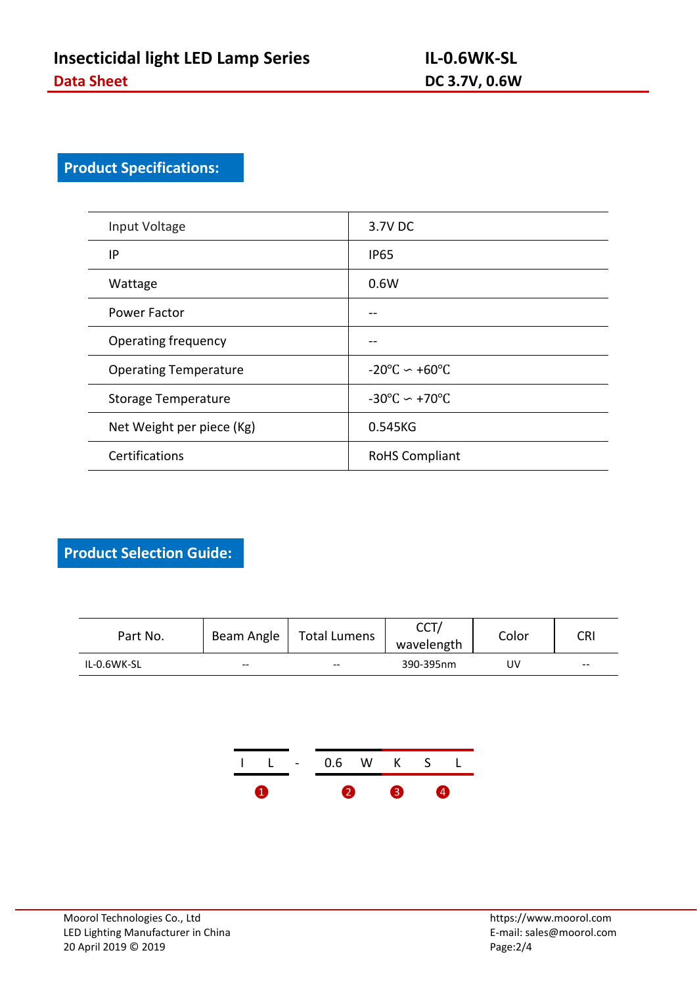# **Product Specifications:**

| Input Voltage                | 3.7V DC                                 |
|------------------------------|-----------------------------------------|
| IP                           | <b>IP65</b>                             |
| Wattage                      | 0.6W                                    |
| Power Factor                 | --                                      |
| Operating frequency          | --                                      |
| <b>Operating Temperature</b> | $-20^{\circ}$ C $\sim +60^{\circ}$ C    |
| <b>Storage Temperature</b>   | $-30^{\circ}$ C $\sim$ +70 $^{\circ}$ C |
| Net Weight per piece (Kg)    | 0.545KG                                 |
| Certifications               | <b>RoHS Compliant</b>                   |

**Product Selection Guide:**

| Part No.    | Beam Angle | <b>Total Lumens</b> | <b>CCT</b><br>, ا ب<br>wavelength | Color | <b>CRI</b> |  |
|-------------|------------|---------------------|-----------------------------------|-------|------------|--|
| IL-0.6WK-SL | $- -$      | $- -$<br>--         | 390-395nm                         | J٧    | $- -$      |  |

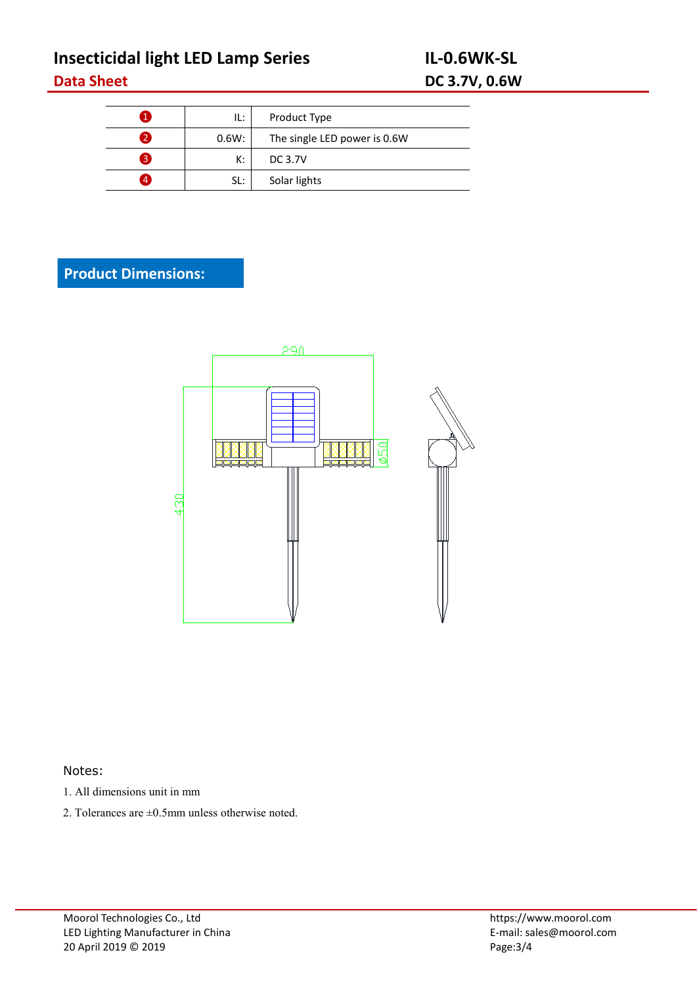# **Insecticidal light LED Lamp Series IL-0.6WK-SL Data Sheet DC 3.7V, 0.6W**

|                | IL:   | Product Type                 |  |
|----------------|-------|------------------------------|--|
| 2              | 0.6W: | The single LED power is 0.6W |  |
| 3              | K:    | DC 3.7V                      |  |
| $\overline{4}$ | SL:   | Solar lights                 |  |

## **Product Dimensions:**



#### Notes:

- 1. All dimensions unit in mm
- 2. Tolerances are ±0.5mm unless otherwise noted.